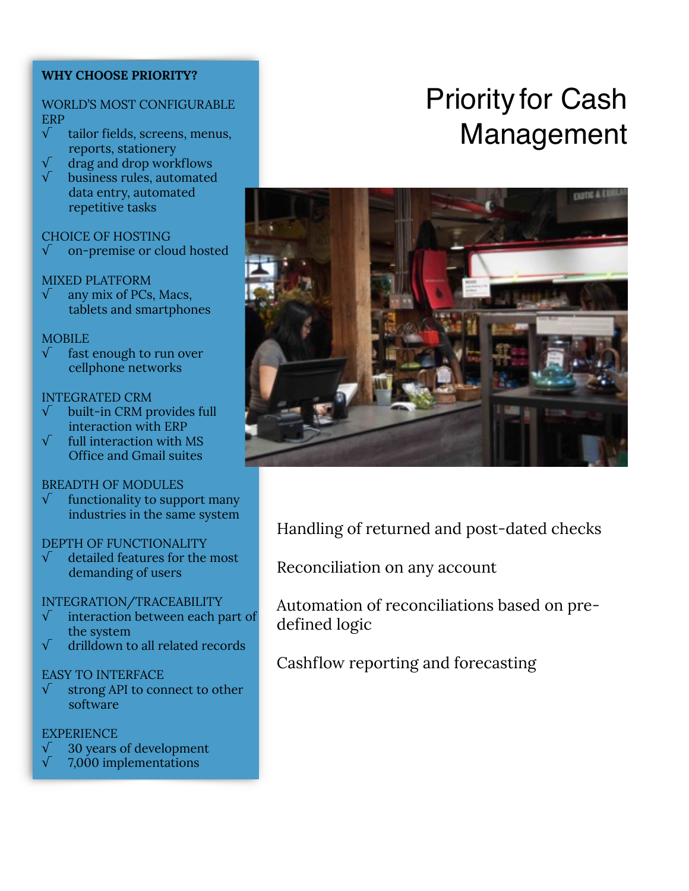### **WHY CHOOSE PRIORITY?**

### WORLD'S MOST CONFIGURABLE ERP

- √ tailor fields, screens, menus, reports, stationery
- drag and drop workflows
- √ business rules, automated data entry, automated repetitive tasks

### CHOICE OF HOSTING

√ on-premise or cloud hosted

### MIXED PLATFORM

 $\sqrt{\phantom{a}}$  any mix of PCs, Macs, tablets and smartphones

### **MOBILE**

fast enough to run over cellphone networks

### INTEGRATED CRM

- √ built-in CRM provides full interaction with ERP
- $\sqrt{\phantom{a}}$  full interaction with MS Office and Gmail suites

### BREADTH OF MODULES

√ functionality to support many industries in the same system

### DEPTH OF FUNCTIONALITY

 $\sqrt{\phantom{a}}$  detailed features for the most demanding of users

### INTEGRATION/TRACEABILITY

- interaction between each part of the system
- √ drilldown to all related records

### EASY TO INTERFACE

√ strong API to connect to other software

### **EXPERIENCE**

- √ 30 years of development
- √ 7,000 implementations

# Priority for Cash Management



Handling of returned and post-dated checks

Reconciliation on any account

Automation of reconciliations based on predefined logic

Cashflow reporting and forecasting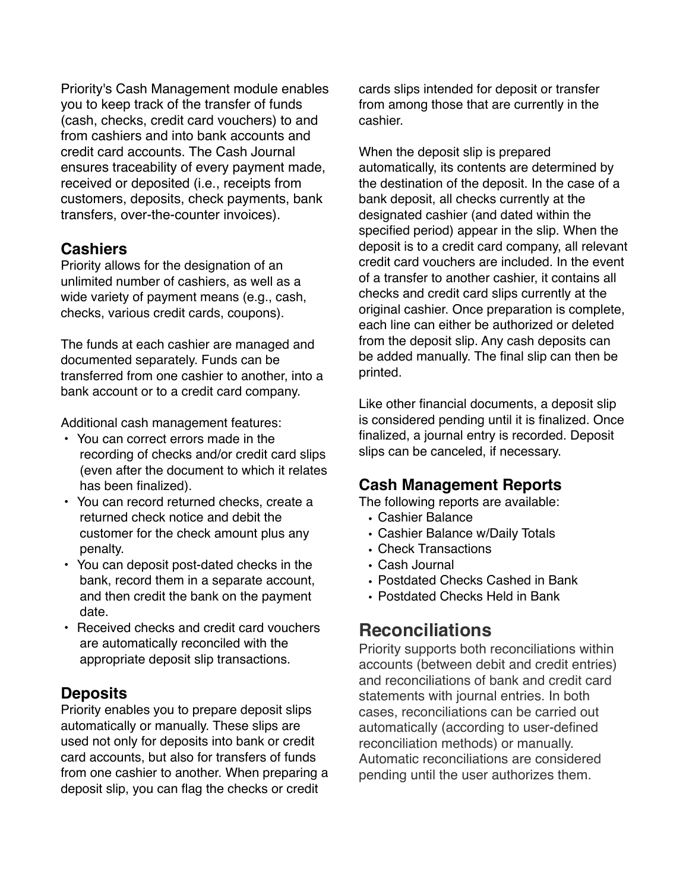Priority's Cash Management module enables you to keep track of the transfer of funds (cash, checks, credit card vouchers) to and from cashiers and into bank accounts and credit card accounts. The Cash Journal ensures traceability of every payment made, received or deposited (i.e., receipts from customers, deposits, check payments, bank transfers, over-the-counter invoices).

## **Cashiers**

Priority allows for the designation of an unlimited number of cashiers, as well as a wide variety of payment means (e.g., cash, checks, various credit cards, coupons).

The funds at each cashier are managed and documented separately. Funds can be transferred from one cashier to another, into a bank account or to a credit card company.

Additional cash management features:

- You can correct errors made in the recording of checks and/or credit card slips (even after the document to which it relates has been finalized).
- You can record returned checks, create a returned check notice and debit the customer for the check amount plus any penalty.
- You can deposit post-dated checks in the bank, record them in a separate account, and then credit the bank on the payment date.
- Received checks and credit card vouchers are automatically reconciled with the appropriate deposit slip transactions.

# **Deposits**

Priority enables you to prepare deposit slips automatically or manually. These slips are used not only for deposits into bank or credit card accounts, but also for transfers of funds from one cashier to another. When preparing a deposit slip, you can flag the checks or credit

cards slips intended for deposit or transfer from among those that are currently in the cashier.

When the deposit slip is prepared automatically, its contents are determined by the destination of the deposit. In the case of a bank deposit, all checks currently at the designated cashier (and dated within the specified period) appear in the slip. When the deposit is to a credit card company, all relevant credit card vouchers are included. In the event of a transfer to another cashier, it contains all checks and credit card slips currently at the original cashier. Once preparation is complete, each line can either be authorized or deleted from the deposit slip. Any cash deposits can be added manually. The final slip can then be printed.

Like other financial documents, a deposit slip is considered pending until it is finalized. Once finalized, a journal entry is recorded. Deposit slips can be canceled, if necessary.

## **Cash Management Reports**

The following reports are available:

- Cashier Balance
- Cashier Balance w/Daily Totals
- Check Transactions
- Cash Journal
- Postdated Checks Cashed in Bank
- Postdated Checks Held in Bank

# **Reconciliations**

Priority supports both reconciliations within accounts (between debit and credit entries) and reconciliations of bank and credit card statements with journal entries. In both cases, reconciliations can be carried out automatically (according to user-defined reconciliation methods) or manually. Automatic reconciliations are considered pending until the user authorizes them.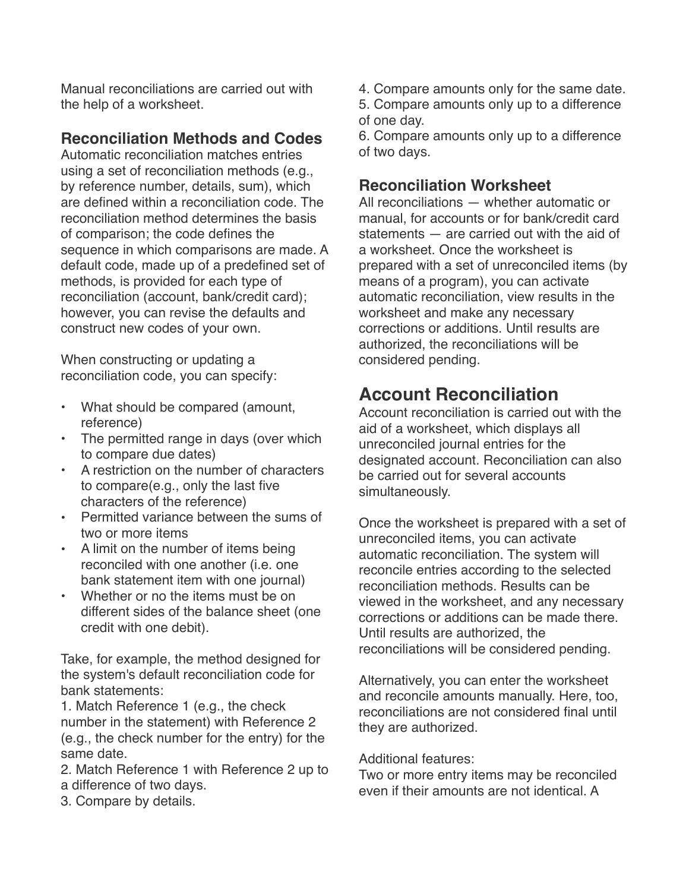Manual reconciliations are carried out with the help of a worksheet.

# **Reconciliation Methods and Codes**

Automatic reconciliation matches entries using a set of reconciliation methods (e.g., by reference number, details, sum), which are defined within a reconciliation code. The reconciliation method determines the basis of comparison; the code defines the sequence in which comparisons are made. A default code, made up of a predefined set of methods, is provided for each type of reconciliation (account, bank/credit card); however, you can revise the defaults and construct new codes of your own.

When constructing or updating a reconciliation code, you can specify:

- What should be compared (amount, reference)
- The permitted range in days (over which to compare due dates)
- A restriction on the number of characters to compare(e.g., only the last five characters of the reference)
- Permitted variance between the sums of two or more items
- A limit on the number of items being reconciled with one another (i.e. one bank statement item with one journal)
- Whether or no the items must be on different sides of the balance sheet (one credit with one debit).

Take, for example, the method designed for the system's default reconciliation code for bank statements:

1. Match Reference 1 (e.g., the check number in the statement) with Reference 2 (e.g., the check number for the entry) for the same date.

2. Match Reference 1 with Reference 2 up to a difference of two days.

3. Compare by details.

- 4. Compare amounts only for the same date.
- 5. Compare amounts only up to a difference of one day.

6. Compare amounts only up to a difference of two days.

## **Reconciliation Worksheet**

All reconciliations — whether automatic or manual, for accounts or for bank/credit card statements — are carried out with the aid of a worksheet. Once the worksheet is prepared with a set of unreconciled items (by means of a program), you can activate automatic reconciliation, view results in the worksheet and make any necessary corrections or additions. Until results are authorized, the reconciliations will be considered pending.

# **Account Reconciliation**

Account reconciliation is carried out with the aid of a worksheet, which displays all unreconciled journal entries for the designated account. Reconciliation can also be carried out for several accounts simultaneously.

Once the worksheet is prepared with a set of unreconciled items, you can activate automatic reconciliation. The system will reconcile entries according to the selected reconciliation methods. Results can be viewed in the worksheet, and any necessary corrections or additions can be made there. Until results are authorized, the reconciliations will be considered pending.

Alternatively, you can enter the worksheet and reconcile amounts manually. Here, too, reconciliations are not considered final until they are authorized.

Additional features:

Two or more entry items may be reconciled even if their amounts are not identical. A